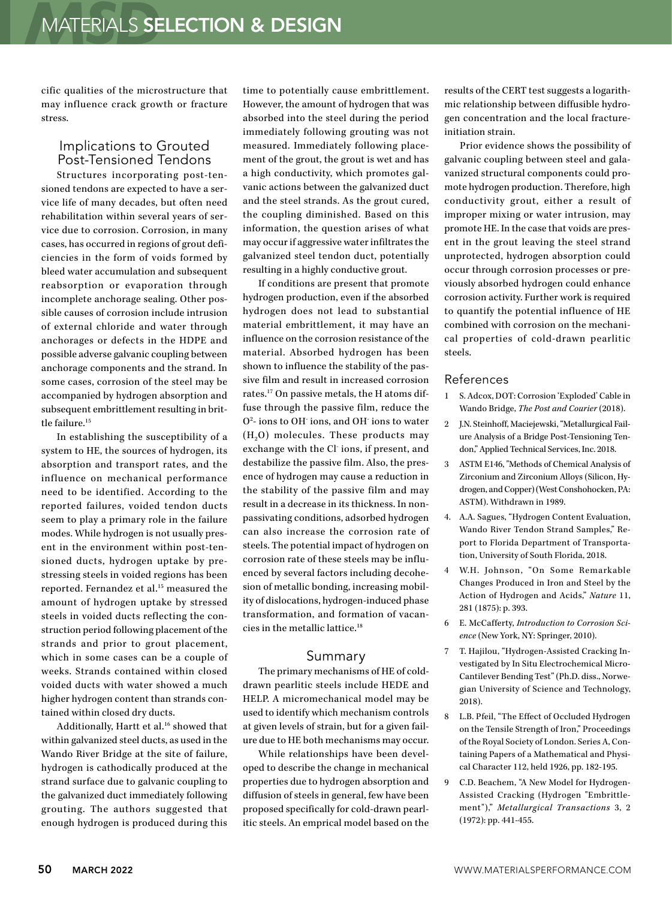cific qualities of the microstructure that may influence crack growth or fracture stress.

## Implications to Grouted Post-Tensioned Tendons

Structures incorporating post-tensioned tendons are expected to have a service life of many decades, but often need rehabilitation within several years of service due to corrosion. Corrosion, in many cases, has occurred in regions of grout deficiencies in the form of voids formed by bleed water accumulation and subsequent reabsorption or evaporation through incomplete anchorage sealing. Other possible causes of corrosion include intrusion of external chloride and water through anchorages or defects in the HDPE and possible adverse galvanic coupling between anchorage components and the strand. In some cases, corrosion of the steel may be accompanied by hydrogen absorption and subsequent embrittlement resulting in brittle failure.15

In establishing the susceptibility of a system to HE, the sources of hydrogen, its absorption and transport rates, and the influence on mechanical performance need to be identified. According to the reported failures, voided tendon ducts seem to play a primary role in the failure modes. While hydrogen is not usually present in the environment within post-tensioned ducts, hydrogen uptake by prestressing steels in voided regions has been reported. Fernandez et al.<sup>15</sup> measured the amount of hydrogen uptake by stressed steels in voided ducts reflecting the construction period following placement of the strands and prior to grout placement, which in some cases can be a couple of weeks. Strands contained within closed voided ducts with water showed a much higher hydrogen content than strands contained within closed dry ducts.

Additionally, Hartt et al.<sup>16</sup> showed that within galvanized steel ducts, as used in the Wando River Bridge at the site of failure, hydrogen is cathodically produced at the strand surface due to galvanic coupling to the galvanized duct immediately following grouting. The authors suggested that enough hydrogen is produced during this time to potentially cause embrittlement. However, the amount of hydrogen that was absorbed into the steel during the period immediately following grouting was not measured. Immediately following placement of the grout, the grout is wet and has a high conductivity, which promotes galvanic actions between the galvanized duct and the steel strands. As the grout cured, the coupling diminished. Based on this information, the question arises of what may occur if aggressive water infiltrates the galvanized steel tendon duct, potentially resulting in a highly conductive grout.

If conditions are present that promote hydrogen production, even if the absorbed hydrogen does not lead to substantial material embrittlement, it may have an influence on the corrosion resistance of the material. Absorbed hydrogen has been shown to influence the stability of the passive film and result in increased corrosion rates.17 On passive metals, the H atoms diffuse through the passive film, reduce the O2 - ions to OH- ions, and OH- ions to water  $(H<sub>2</sub>O)$  molecules. These products may exchange with the Cl ions, if present, and destabilize the passive film. Also, the presence of hydrogen may cause a reduction in the stability of the passive film and may result in a decrease in its thickness. In nonpassivating conditions, adsorbed hydrogen can also increase the corrosion rate of steels. The potential impact of hydrogen on corrosion rate of these steels may be influenced by several factors including decohesion of metallic bonding, increasing mobility of dislocations, hydrogen-induced phase transformation, and formation of vacancies in the metallic lattice.18

## Summary

The primary mechanisms of HE of colddrawn pearlitic steels include HEDE and HELP. A micromechanical model may be used to identify which mechanism controls at given levels of strain, but for a given failure due to HE both mechanisms may occur.

While relationships have been developed to describe the change in mechanical properties due to hydrogen absorption and diffusion of steels in general, few have been proposed specifically for cold-drawn pearlitic steels. An emprical model based on the results of the CERT test suggests a logarithmic relationship between diffusible hydrogen concentration and the local fractureinitiation strain.

Prior evidence shows the possibility of galvanic coupling between steel and galavanized structural components could promote hydrogen production. Therefore, high conductivity grout, either a result of improper mixing or water intrusion, may promote HE. In the case that voids are present in the grout leaving the steel strand unprotected, hydrogen absorption could occur through corrosion processes or previously absorbed hydrogen could enhance corrosion activity. Further work is required to quantify the potential influence of HE combined with corrosion on the mechanical properties of cold-drawn pearlitic steels.

## References

- 1 S. Adcox, DOT: Corrosion 'Exploded' Cable in Wando Bridge, *The Post and Courier* (2018).
- 2 J.N. Steinhoff, Maciejewski, "Metallurgical Failure Analysis of a Bridge Post-Tensioning Tendon," Applied Technical Services, Inc. 2018.
- 3 ASTM E146, "Methods of Chemical Analysis of Zirconium and Zirconium Alloys (Silicon, Hydrogen, and Copper) (West Conshohocken, PA: ASTM). Withdrawn in 1989.
- 4. A.A. Sagues, "Hydrogen Content Evaluation, Wando River Tendon Strand Samples," Report to Florida Department of Transportation, University of South Florida, 2018.
- 4 W.H. Johnson, "On Some Remarkable Changes Produced in Iron and Steel by the Action of Hydrogen and Acids," *Nature* 11, 281 (1875): p. 393.
- 6 E. McCafferty, *Introduction to Corrosion Science* (New York, NY: Springer, 2010).
- 7 T. Hajilou, "Hydrogen-Assisted Cracking Investigated by In Situ Electrochemical Micro-Cantilever Bending Test" (Ph.D. diss., Norwegian University of Science and Technology, 2018).
- 8 L.B. Pfeil, "The Effect of Occluded Hydrogen on the Tensile Strength of Iron," Proceedings of the Royal Society of London. Series A, Containing Papers of a Mathematical and Physical Character 112, held 1926, pp. 182-195.
- 9 C.D. Beachem, "A New Model for Hydrogen-Assisted Cracking (Hydrogen "Embrittlement")," *Metallurgical Transactions* 3, 2 (1972): pp. 441-455.